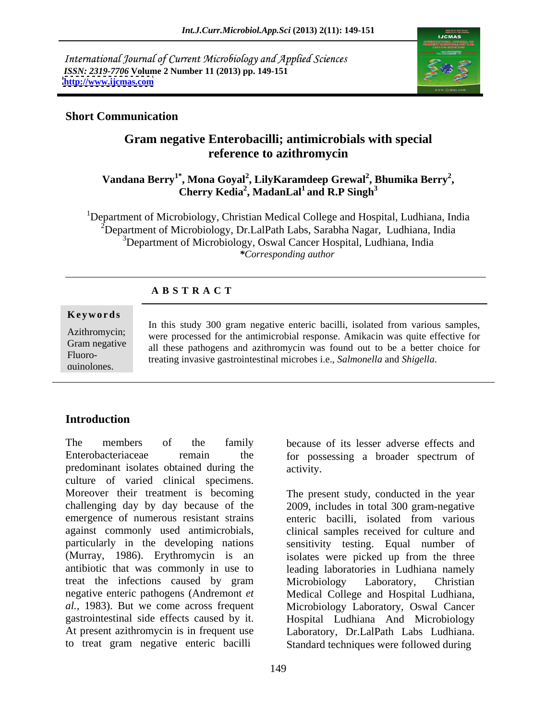International Journal of Current Microbiology and Applied Sciences *ISSN: 2319-7706* **Volume 2 Number 11 (2013) pp. 149-151 <http://www.ijcmas.com>**



#### **Short Communication**

# **Gram negative Enterobacilli; antimicrobials with special reference to azithromycin**

#### **Vandana Berry1\* , Mona Goyal<sup>2</sup> , LilyKaramdeep Grewal<sup>2</sup> , Cherry Kedia2 , Bhumika Berry<sup>2</sup> Cherry Kedia<sup>2</sup>, MadanLal<sup>1</sup> and R.P Singh<sup>3</sup> and R.P Singh<sup>3</sup>**

<sup>1</sup>Department of Microbiology, Christian Medical College and Hospital, Ludhiana, India  $2^2$ Department of Microbiology, Dr.LalPath Labs, Sarabha Nagar, Ludhiana, India <sup>3</sup>Department of Microbiology, Oswal Cancer Hospital, Ludhiana, India *\*Corresponding author*

### **A B S T R A C T**

#### **Ke ywo rds**

Azithromycin; were processed for the antimicrobial response. Amikacin was quite effective for Gram negative all these pathogens and azithromycin was found out to be a better choice for Fluoro-<br>
Fluoro-<br>
Freeting invasive gastrointestinal microbes i.e. Salmonalla and Shigalla quinolones. treating invasive gastrointestinal microbes i.e., *Salmonella* and *Shigella*.In this study 300 gram negative enteric bacilli, isolated from various samples,

## **Introduction**

The members of the family because of its lesser adverse effects and Enterobacteriaceae remain the for possessing a broader spectrum of predominant isolates obtained during the culture of varied clinical specimens. Moreover their treatment is becoming The present study, conducted in the year challenging day by day because of the 2009, includes in total 300 gram-negative emergence of numerous resistant strains enteric bacilli, isolated from various against commonly used antimicrobials, clinical samples received for culture and particularly in the developing nations sensitivity testing. Equal number of (Murray, 1986). Erythromycin is an isolates were picked up from the three antibiotic that was commonly in use to leading laboratories in Ludhiana namely treat the infections caused by gram Microbiology Laboratory, Christian negative enteric pathogens (Andremont *et al.,* 1983). But we come across frequent Microbiology Laboratory, Oswal Cancer gastrointestinal side effects caused by it. Hospital Ludhiana And Microbiology At present azithromycin is in frequent use Laboratory, Dr.LalPath Labs Ludhiana.

activity.

to treat gram negative enteric bacilli Standard techniques were followed during enteric bacilli, isolated from various Microbiology Laboratory, Christian Medical College and Hospital Ludhiana,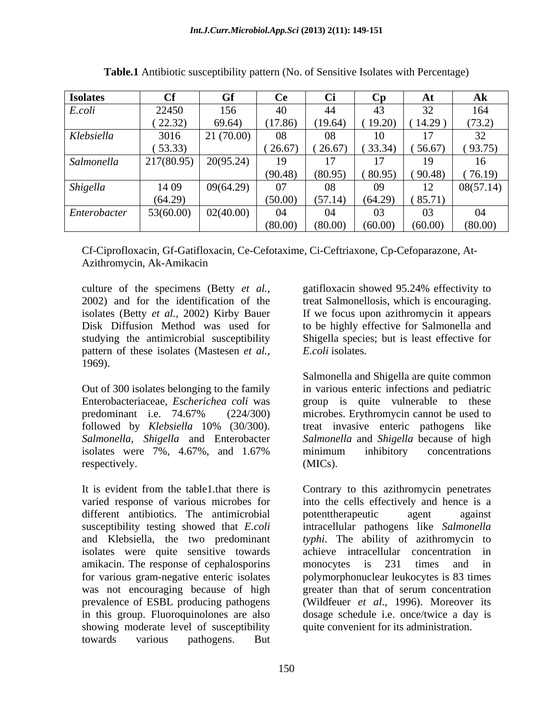| <b>Isolates</b> |            |           |         |         |         | ${\bf A}$ l    | Ak        |
|-----------------|------------|-----------|---------|---------|---------|----------------|-----------|
| E.coli          | 22450      | 156       | 40      | 44      | 43      | 32             | 164       |
|                 | (22.32)    | 69.64)    | (17.86) | (19.64) | (19.20) | (14.29)        | (73.2)    |
| Klebsiella      | 3016       | 21(70.00) | 08      |         | 10      |                | 32        |
|                 | (53.33)    |           | (26.67) | (26.67) | (33.34) | (56.67)        | (93.75)   |
| Salmonella      | 217(80.95) | 20(95.24) | $19-1$  |         |         |                | 16        |
|                 |            |           | (90.48) | (80.95) | (80.95) | (90.48)        | 76.19     |
| Shigella        | 14 09      | 09(64.29) | 07      |         | 09      | $\overline{1}$ | 08(57.14) |
|                 | (64.29)    |           | (50.00) | (57.14) | (64.29) | (85.71)        |           |
| Enterobacter    | 53(60.00)  | 02(40.00) | 04      |         |         | 03             |           |
|                 |            |           | (80.00) | (80.00) | (60.00) | (60.00)        | (80.00)   |

**Table.1** Antibiotic susceptibility pattern (No. of Sensitive Isolates with Percentage)

Cf-Ciprofloxacin, Gf-Gatifloxacin, Ce-Cefotaxime, Ci-Ceftriaxone, Cp-Cefoparazone, At- Azithromycin, Ak-Amikacin

culture of the specimens (Betty *et al.,* 2002) and for the identification of the treat Salmonellosis, which is encouraging. isolates (Betty *et al.,* 2002) Kirby Bauer If we focus upon azithromycin it appears Disk Diffusion Method was used for to be highly effective for Salmonella and studying the antimicrobial susceptibility Shigella species; but is least effective for pattern of these isolates (Mastesen *et al.,* 1969).

isolates were 7%, 4.67%, and 1.67% minimum inhibitory concentrations respectively. (MICs).

different antibiotics. The antimicrobial potentification agent against isolates were quite sensitive towards amikacin. The response of cephalosporins monocytes is 231 times and in showing moderate level of susceptibility towards various pathogens. But

gatifloxacin showed 95.24% effectivity to *E.coli* isolates.

Out of 300 isolates belonging to the family in various enteric infections and pediatric Enterobacteriaceae, *Escherichea coli* was group is quite vulnerable to these predominant i.e. 74.67% (224/300) microbes. Erythromycin cannot be used to followed by *Klebsiella* 10% (30/300). *Salmonella*, *Shigella* and Enterobacter *Salmonella* and *Shigella* because of high Salmonella and Shigella are quite common microbes. Erythromycin cannot be used to treat invasive enteric pathogens like minimum inhibitory concentrations (MICs).

It is evident from the table1.that there is Contrary to this azithromycin penetrates varied response of various microbes for into the cells effectively and hence is a susceptibility testing showed that *E.coli* intracellular pathogens like *Salmonella*  and Klebsiella, the two predominant *typhi*. The ability of azithromycin to for various gram-negative enteric isolates polymorphonuclear leukocytes is 83 times was not encouraging because of high greater than that of serum concentration prevalence of ESBL producing pathogens (Wildfeuer *et al*., 1996). Moreover its in this group. Fluoroquinolones are also dosage schedule i.e. once/twice a day is potenttherapeutic agent against achieve intracellular concentration in monocytes is 231 times and in quite convenient for its administration.